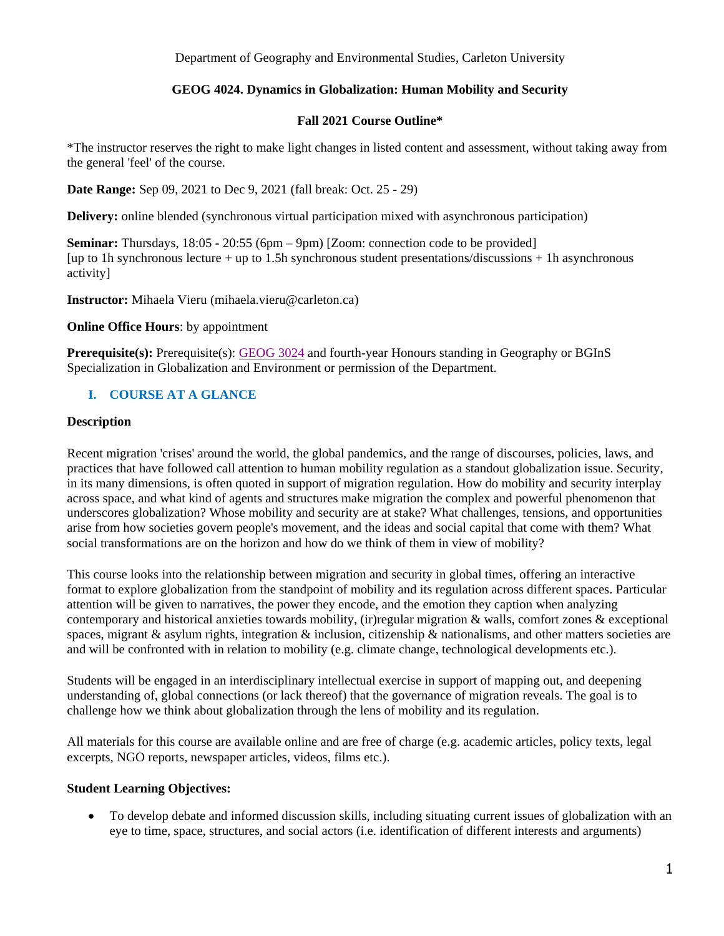Department of Geography and Environmental Studies, Carleton University

## **GEOG 4024. Dynamics in Globalization: Human Mobility and Security**

#### **Fall 2021 Course Outline\***

\*The instructor reserves the right to make light changes in listed content and assessment, without taking away from the general 'feel' of the course.

**Date Range:** Sep 09, 2021 to Dec 9, 2021 (fall break: Oct. 25 - 29)

**Delivery:** online blended (synchronous virtual participation mixed with asynchronous participation)

**Seminar:** Thursdays, 18:05 - 20:55 (6pm – 9pm) [Zoom: connection code to be provided] [up to 1h synchronous lecture + up to 1.5h synchronous student presentations/discussions + 1h asynchronous activity]

**Instructor:** Mihaela Vieru (mihaela.vieru@carleton.ca)

**Online Office Hours**: by appointment

**Prerequisite(s):** Prerequisite(s): [GEOG](https://calendar.carleton.ca/search/?P=GEOG%203024) 3024 and fourth-year Honours standing in Geography or BGInS Specialization in Globalization and Environment or permission of the Department.

# **I. COURSE AT A GLANCE**

### **Description**

Recent migration 'crises' around the world, the global pandemics, and the range of discourses, policies, laws, and practices that have followed call attention to human mobility regulation as a standout globalization issue. Security, in its many dimensions, is often quoted in support of migration regulation. How do mobility and security interplay across space, and what kind of agents and structures make migration the complex and powerful phenomenon that underscores globalization? Whose mobility and security are at stake? What challenges, tensions, and opportunities arise from how societies govern people's movement, and the ideas and social capital that come with them? What social transformations are on the horizon and how do we think of them in view of mobility?

This course looks into the relationship between migration and security in global times, offering an interactive format to explore globalization from the standpoint of mobility and its regulation across different spaces. Particular attention will be given to narratives, the power they encode, and the emotion they caption when analyzing contemporary and historical anxieties towards mobility, (ir)regular migration & walls, comfort zones & exceptional spaces, migrant & asylum rights, integration & inclusion, citizenship & nationalisms, and other matters societies are and will be confronted with in relation to mobility (e.g. climate change, technological developments etc.).

Students will be engaged in an interdisciplinary intellectual exercise in support of mapping out, and deepening understanding of, global connections (or lack thereof) that the governance of migration reveals. The goal is to challenge how we think about globalization through the lens of mobility and its regulation.

All materials for this course are available online and are free of charge (e.g. academic articles, policy texts, legal excerpts, NGO reports, newspaper articles, videos, films etc.).

## **Student Learning Objectives:**

 To develop debate and informed discussion skills, including situating current issues of globalization with an eye to time, space, structures, and social actors (i.e. identification of different interests and arguments)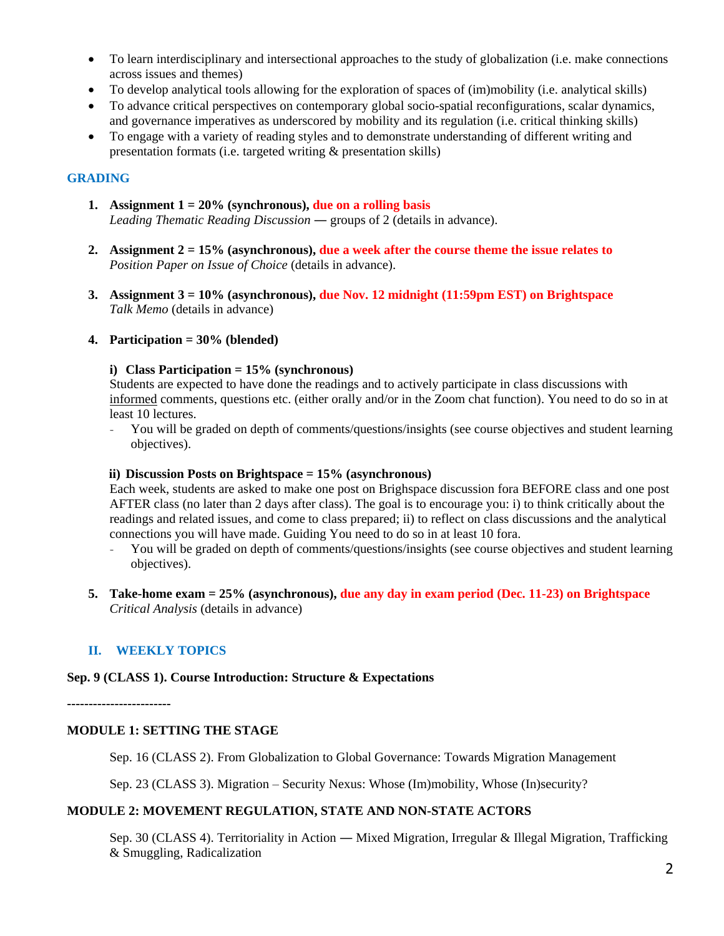- To learn interdisciplinary and intersectional approaches to the study of globalization (i.e. make connections across issues and themes)
- To develop analytical tools allowing for the exploration of spaces of (im)mobility (i.e. analytical skills)
- To advance critical perspectives on contemporary global socio-spatial reconfigurations, scalar dynamics, and governance imperatives as underscored by mobility and its regulation (i.e. critical thinking skills)
- To engage with a variety of reading styles and to demonstrate understanding of different writing and presentation formats (i.e. targeted writing & presentation skills)

## **GRADING**

- **1. Assignment**  $1 = 20\%$  (synchronous), due on a rolling basis *Leading Thematic Reading Discussion* ― groups of 2 (details in advance).
- **2. Assignment 2 = 15% (asynchronous), due a week after the course theme the issue relates to**  *Position Paper on Issue of Choice* (details in advance).
- **3. Assignment 3 = 10% (asynchronous), due Nov. 12 midnight (11:59pm EST) on Brightspace** *Talk Memo* (details in advance)

### **4. Participation = 30% (blended)**

#### **i) Class Participation = 15% (synchronous)**

Students are expected to have done the readings and to actively participate in class discussions with informed comments, questions etc. (either orally and/or in the Zoom chat function). You need to do so in at least 10 lectures.

- You will be graded on depth of comments/questions/insights (see course objectives and student learning objectives).

#### **ii) Discussion Posts on Brightspace = 15% (asynchronous)**

Each week, students are asked to make one post on Brighspace discussion fora BEFORE class and one post AFTER class (no later than 2 days after class). The goal is to encourage you: i) to think critically about the readings and related issues, and come to class prepared; ii) to reflect on class discussions and the analytical connections you will have made. Guiding You need to do so in at least 10 fora.

- You will be graded on depth of comments/questions/insights (see course objectives and student learning objectives).
- **5. Take-home exam = 25% (asynchronous), due any day in exam period (Dec. 11-23) on Brightspace** *Critical Analysis* (details in advance)

# **II. WEEKLY TOPICS**

#### **Sep. 9 (CLASS 1). Course Introduction: Structure & Expectations**

**------------------------**

#### **MODULE 1: SETTING THE STAGE**

Sep. 16 (CLASS 2). From Globalization to Global Governance: Towards Migration Management

Sep. 23 (CLASS 3). Migration – Security Nexus: Whose (Im)mobility, Whose (In)security?

## **MODULE 2: MOVEMENT REGULATION, STATE AND NON-STATE ACTORS**

Sep. 30 (CLASS 4). Territoriality in Action — Mixed Migration, Irregular & Illegal Migration, Trafficking & Smuggling, Radicalization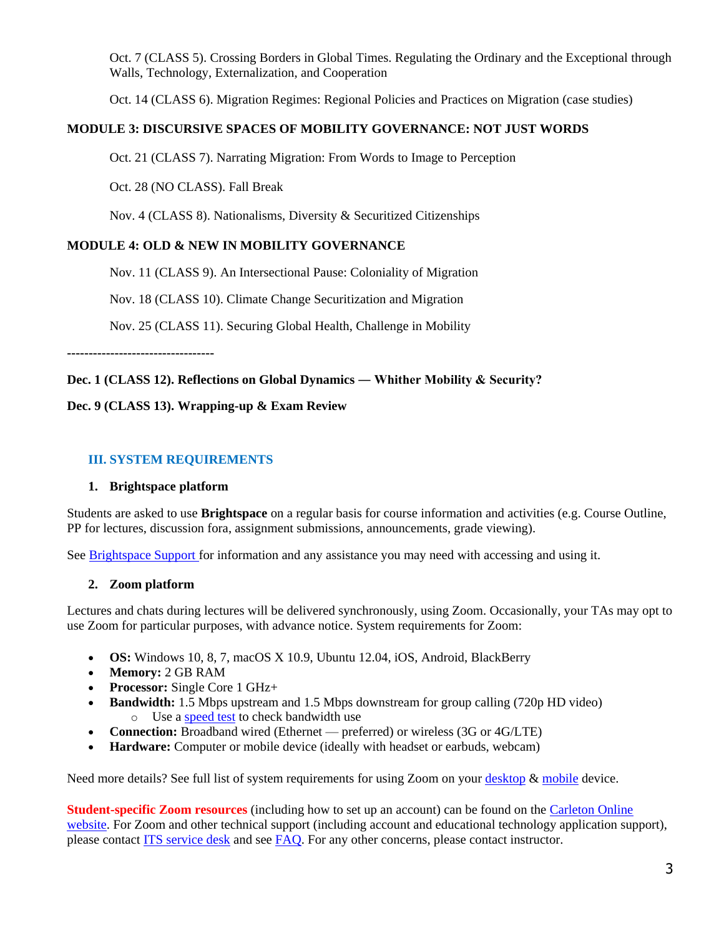Oct. 7 (CLASS 5). Crossing Borders in Global Times. Regulating the Ordinary and the Exceptional through Walls, Technology, Externalization, and Cooperation

Oct. 14 (CLASS 6). Migration Regimes: Regional Policies and Practices on Migration (case studies)

## **MODULE 3: DISCURSIVE SPACES OF MOBILITY GOVERNANCE: NOT JUST WORDS**

Oct. 21 (CLASS 7). Narrating Migration: From Words to Image to Perception

Oct. 28 (NO CLASS). Fall Break

Nov. 4 (CLASS 8). Nationalisms, Diversity & Securitized Citizenships

## **MODULE 4: OLD & NEW IN MOBILITY GOVERNANCE**

Nov. 11 (CLASS 9). An Intersectional Pause: Coloniality of Migration

Nov. 18 (CLASS 10). Climate Change Securitization and Migration

Nov. 25 (CLASS 11). Securing Global Health, Challenge in Mobility

**----------------------------------**

### **Dec. 1 (CLASS 12). Reflections on Global Dynamics ― Whither Mobility & Security?**

### **Dec. 9 (CLASS 13). Wrapping-up & Exam Review**

### **III. SYSTEM REQUIREMENTS**

#### **1. Brightspace platform**

Students are asked to use **Brightspace** on a regular basis for course information and activities (e.g. Course Outline, PP for lectures, discussion fora, assignment submissions, announcements, grade viewing).

See [Brightspace Support f](https://carleton.ca/brightspace/)or information and any assistance you may need with accessing and using it.

## **2. Zoom platform**

Lectures and chats during lectures will be delivered synchronously, using Zoom. Occasionally, your TAs may opt to use Zoom for particular purposes, with advance notice. System requirements for Zoom:

- **OS:** Windows 10, 8, 7, macOS X 10.9, Ubuntu 12.04, iOS, Android, BlackBerry
- **Memory:** 2 GB RAM
- **Processor:** Single Core 1 GHz+
- **Bandwidth:** 1.5 Mbps upstream and 1.5 Mbps downstream for group calling (720p HD video) o Use a [speed test](https://speedtest.net/) to check bandwidth use
- **Connection:** Broadband wired (Ethernet preferred) or wireless (3G or 4G/LTE)
- **Hardware:** Computer or mobile device (ideally with headset or earbuds, webcam)

Need more details? See full list of system requirements for using Zoom on your [desktop](https://support.zoom.us/hc/en-us/articles/201362023-System-requirements-for-Windows-macOS-and-Linux) [& mobile](https://support.zoom.us/hc/en-us/articles/201179966-System-requirements-for-iOS-iPadOS-and-Android) device.

**Student-specific Zoom resources** (including how to set up an account) can be found on the [Carleton Online](https://carleton.ca/online/online-learning-resources/zoom-for-students-2/)  [website.](https://carleton.ca/online/online-learning-resources/zoom-for-students-2/) For Zoom and other technical support (including account and educational technology application support), please contact [ITS service desk](https://carleton.ca/its/contact/) and see [FAQ.](https://carleton.ca/its/help-centre/faq-technical-specs-for-new-students/) For any other concerns, please contact instructor.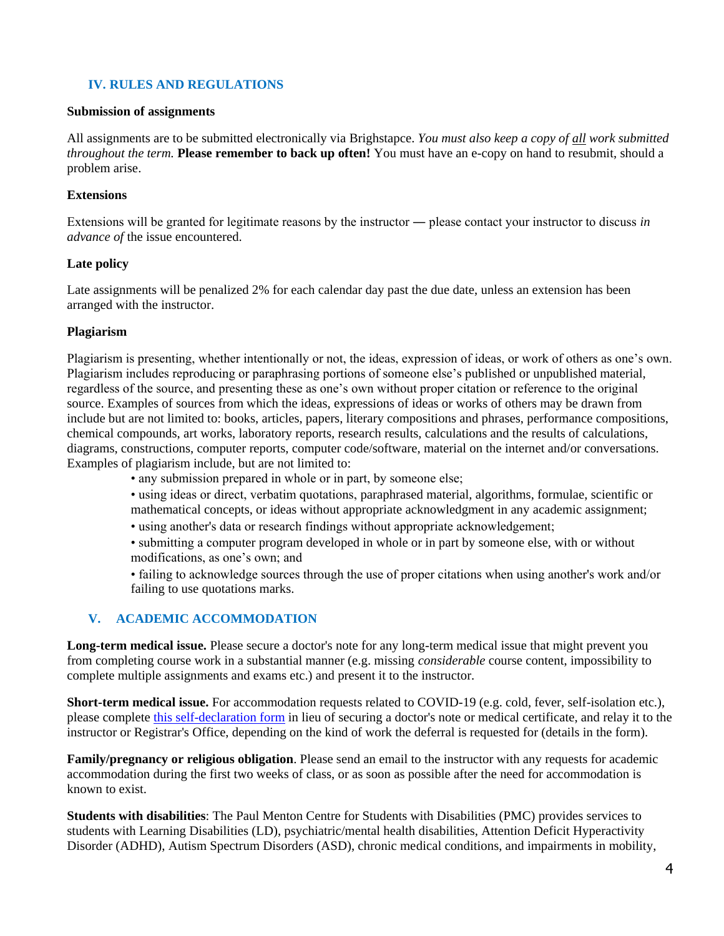# **IV. RULES AND REGULATIONS**

#### **Submission of assignments**

All assignments are to be submitted electronically via Brighstapce. *You must also keep a copy of all work submitted throughout the term.* **Please remember to back up often!** You must have an e-copy on hand to resubmit, should a problem arise.

### **Extensions**

Extensions will be granted for legitimate reasons by the instructor ― please contact your instructor to discuss *in advance of* the issue encountered.

### **Late policy**

Late assignments will be penalized 2% for each calendar day past the due date, unless an extension has been arranged with the instructor.

### **Plagiarism**

Plagiarism is presenting, whether intentionally or not, the ideas, expression of ideas, or work of others as one's own. Plagiarism includes reproducing or paraphrasing portions of someone else's published or unpublished material, regardless of the source, and presenting these as one's own without proper citation or reference to the original source. Examples of sources from which the ideas, expressions of ideas or works of others may be drawn from include but are not limited to: books, articles, papers, literary compositions and phrases, performance compositions, chemical compounds, art works, laboratory reports, research results, calculations and the results of calculations, diagrams, constructions, computer reports, computer code/software, material on the internet and/or conversations. Examples of plagiarism include, but are not limited to:

- any submission prepared in whole or in part, by someone else;
- using ideas or direct, verbatim quotations, paraphrased material, algorithms, formulae, scientific or mathematical concepts, or ideas without appropriate acknowledgment in any academic assignment;
- using another's data or research findings without appropriate acknowledgement;
- submitting a computer program developed in whole or in part by someone else, with or without modifications, as one's own; and

• failing to acknowledge sources through the use of proper citations when using another's work and/or failing to use quotations marks.

## **V. ACADEMIC ACCOMMODATION**

**Long-term medical issue.** Please secure a doctor's note for any long-term medical issue that might prevent you from completing course work in a substantial manner (e.g. missing *considerable* course content, impossibility to complete multiple assignments and exams etc.) and present it to the instructor.

**Short-term medical issue.** For accommodation requests related to COVID-19 (e.g. cold, fever, self-isolation etc.), please complete [this self-declaration form](https://carleton.ca/registrar/wp-content/uploads/self-declaration.pdf) in lieu of securing a doctor's note or medical certificate, and relay it to the instructor or Registrar's Office, depending on the kind of work the deferral is requested for (details in the form).

**Family/pregnancy or religious obligation**. Please send an email to the instructor with any requests for academic accommodation during the first two weeks of class, or as soon as possible after the need for accommodation is known to exist.

**Students with disabilities**: The Paul Menton Centre for Students with Disabilities (PMC) provides services to students with Learning Disabilities (LD), psychiatric/mental health disabilities, Attention Deficit Hyperactivity Disorder (ADHD), Autism Spectrum Disorders (ASD), chronic medical conditions, and impairments in mobility,